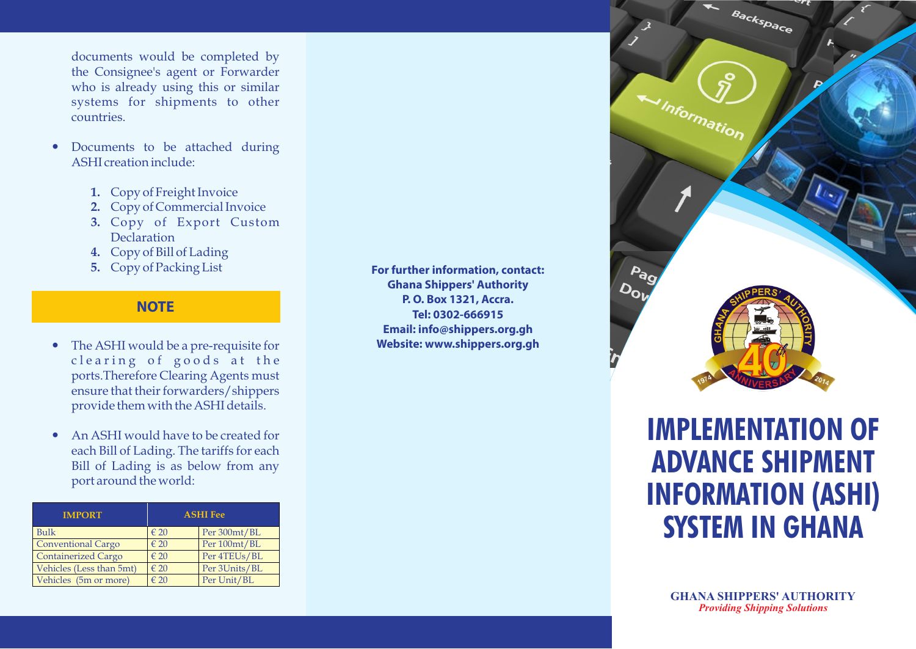documents would be completed by the Consignee's agent or Forwarder who is already using this or similar systems for shipments to other

- ?countries. Documents to be attached during ASHI creation include:
	- **1.** Copy of Freight Invoice
	- **2.** Copy of Commercial Invoice
	- **3.** Copy of Export Custom **Declaration**
	- **4.** Copy of Bill of Lading
	- **5.** Copy of Packing List

## **NOTE**

- The ASHI would be a pre-requisite for clearing of goods at the ports.Therefore Clearing Agents must ensure that their forwarders/shippers
- ?provide them with the ASHI details. An ASHI would have to be created for each Bill of Lading. The tariffs for each Bill of Lading is as below from any port around the world:

| <b>IMPORT</b>              | <b>ASHI Fee</b> |               |
|----------------------------|-----------------|---------------|
| <b>Bulk</b>                | $\epsilon$ 20   | Per 300mt/BL  |
| <b>Conventional Cargo</b>  | $\epsilon$ 20   | Per 100mt/BL  |
| <b>Containerized Cargo</b> | $\epsilon$ 20   | Per 4TEUs/BL  |
| Vehicles (Less than 5mt)   | $\epsilon$ 20   | Per 3Units/BL |
| Vehicles (5m or more)      | $\epsilon$ 20   | Per Unit/BL   |

**For further information, contact: Ghana Shippers' Authority P. O. Box 1321, Accra. Tel: 0302-666915 Email: info@shippers.org.gh Website: www.shippers.org.gh**



# **IMPLEMENTATION OF ADVANCE SHIPMENT INFORMATION (ASHI) SYSTEM IN GHANA**